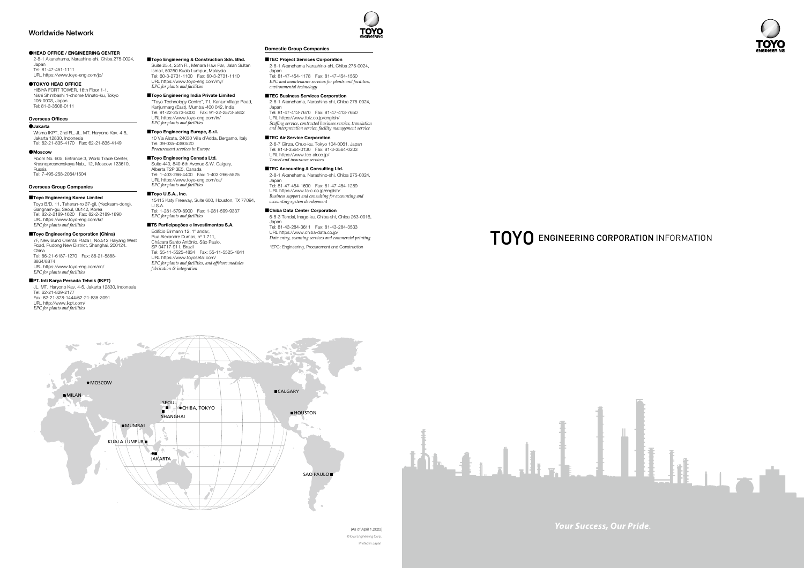#### **CHEAD OFFICE / ENGINEERING CENTER**

2-8-1 Akanehama, Narashino-shi, Chiba 275-0024, Japan Tel: 81-47-451-1111 URL https://www.toyo-eng.com/jp/

#### ●TOKYO HEAD OFFICE

HIBIYA FORT TOWER, 16th Floor 1-1,<br>Nishi Shimbashi 1-chome Minato-ku, Tokyo 105-0003, Japan Tel: 81-3-3508-0111

#### **Overseas Offices**

### ●**Jakarta**

Wisma IKPT, 2nd Fl., JL. MT. Haryono Kav. 4-5, Jakarta 12830, Indonesia 62-21-835-4149 :Fax 62-21-835-4170 :Tel

#### ●Moscow

Room No. 605, Entrance 3, World Trade Center, Krasnopresnenskaya Nab., 12, Moscow 123610. Russia Tel: 7-495-258-2064/1504

#### **Overseas Group Companies**

#### ■Toyo Engineering Korea Limited

Toyo B/D. 11, Teheran-ro 37-gil, (Yeoksam-dong), Gangnam-gu, Seoul, 06142, Korea Tel: 82-2-2189-1620 Fax: 82-2-2189-1890 Various Library Company Company URL https://www.toyo-eng.com/kr/ *<i>facilities <i>facilities* 

# ■Toyo Engineering Corporation (China)

7F, New Bund Oriental Plaza I, No.512 Haiyang West Road, Pudong New District, Shanghai, 200124. China 86-21-5888- :Fax 86-21-6187-1270 :Tel 8864/8874 URL https://www.toyo-eng.com/cn/ *<i>facilities facilities* 

#### ■PT. Inti Karya Persada Tehnik (IKPT)

JL. MT. Haryono Kav. 4-5, Jakarta 12830, Indonesia Tel: 62-21-829-2177 Fax: 62-21-828-1444/62-21-835-3091 URL http://www.ikpt.com/ *<i>facilities facilities* 

#### Domestic Group Companies

#### ■TEC Project Services Corporation

39-035-4390520 :Tel **Procurement** services in Europe ■Toyo Engineering Canada Ltd.

 $EPC$  for plants and facilities



©Toyo Engineering Corp. Printed in Japan (As of April 1,2022) **Your Success, Our Pride.** 



2-8-1 Akanehama Narashino-shi, Chiba 275-0024 Japan

Tel: 81-47-454-1178 Fax: 81-47-454-1550 *<i>EPC* and maintenance services for plants and facilities, *technology environmental*

TOYO

#### ■TEC Business Services Corporation

2-8-1 Akanehama, Narashino-shi, Chiba 275-0024,

Japan<br>Tel: 81-47-413-7670 Fax: 81-47-413-7650 URL https://www.tbiz.co.jp/english/ *<i>Sideman service, contracted business service, translation surfulgences, commette entities coverely minimum* 

#### ■ TEC Air Service Corporation

2-6-7 Ginza, Chuo-ku, Tokyo 104-0061, Japan Tel: 81-3-3564-0130 Fax: 81-3-3564-0203 URL https://www.tec-air.co.ip/ *Travel and insurance services* 

#### ■TEC Accounting & Consulting Ltd.

2-8-1 Akanehama, Narashino-shi, Chiba 275-0024, Japan 826.11.<br>Tel: 81-47-454-1690 Fax: 81-47-454-1289

URL https://www.ta-c.co.jp/english/ *Business support and consulting for accounting and development system accounting*

## ■Chiba Data Center Corporation

6-5-3 Tendai, Inage-ku, Chiba-shi, Chiba 263-0016, Japan

Feb. 31-43-284-3611 Fax: 81-43-284-3533 URL https://www.chiba-data.co.jp/ Data entry, scanning services and commercial printing

\*EPC: Engineering, Procurement and Construction

# $TOYO$  engineering corporation information

*integration & fabrication*

56-04717-511, Brazii<br>Tel: 55-11-5525-4834 Fax: 55-11-5525-4841

*EPC for plants and facilities, and offshore modules* 

URL https://www.toyo-eng.com/in/ *facilities <i>facilities* ■Toyo Engineering Europe, S.r.I.



■Toyo Engineering & Construction Sdn. Bhd. Suite 25.4, 25th Fl., Menara Haw Par, Jalan Sultan<br>Ismail, 50250 Kuala Lumpur, Malaysia 60-3-2731-1110 :Fax 60-3-2731-1100 :Tel URL https://www.toyo-eng.com/my/ *<i><u><i>FPC*</u> for plants and facilities

■Toyo Engineering India Private Limited "Toyo Technology Centre", 71, Kanjur Village Road, Kanjurmarg (East), Mumbai-400 042, India<br>Tel: 91-22-2573-5000 Fax: 91-22-2573-5842

10 Via Alzata, 24030 Villa d'Adda, Bergamo, Italy

15415 Katy Freeway, Suite 600, Houston, TX 77094, U.S.A.<br>Tel: 1-281-579-8900 Fax: 1-281-599-9337

Suite 440, 840-6th Avenue S.W. Calgary,<br>Alberta T2P 3E5, Canada 1-403-266-5525 :Fax 1-403-266-4400 :Tel URL https://www.toyo-eng.com/ca/ *<i><u>FPC</u> for plants and facilities* ■Toyo U.S.A., Inc.

■TS Participações e Investimentos S.A. Edifício Birmann 12, 1º andar, Rua Alexandre Dumas, nº 1.711 Chácara Santo Antônio, São Paulo, SP 04717-911, Brazil

URL https://www.toyosetal.com/